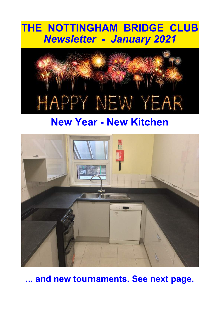# THE NOTTINGHAM BRIDGE CLUB **Newsletter - January 2021**



# **New Year - New Kitchen**



... and new tournaments. See next page.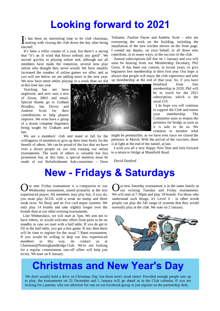#### **Looking forward to 2021**

 $\int$ t has been an interesting time to be club chairman,<br>starting with closing the club down the day after being<br>elected!  $\lceil$  t has been an interesting time to be club chairman, elected!

It's been a roller coaster of a year, but there's a saying that "it's an ill wind that blows nobody any good". We moved quickly to playing online and, although not all members have made the transition, several now play online who thought they never would. We have steadily increased the number of online games we offer, and as you will see below we are adding more in the new year. We now have more tables playing in a week than we did

at this time last year.<br>Teaching has Teaching has not been

neglected, and now uses a mix of Zoom, BBO and email. Special thanks go to Graham Brindley, Ian Dovey and<br>Andrew Scott for their Andrew contributions to help players improve. We even have a group of a dozen complete beginners being taught by Graham and Tan.

We are a members' club and stand or fall by the willingness of members to give up their time freely for the benefit of others. We can be proud of the fact that we have over a dozen people on our rota running our online tournaments. The work of others is valuable but less prominent but, at this time, a special mention must be made of our Refurbishment Sub-committee - Dave

Treharne, Pauline Payne and Andrew Scott  $-$  who are overseeing the work on the building, including the installation of the new kitchen shown on the front page. I extend my thanks, on your behalf, to all those who contribute, in so many ways, to the success of the club.

Annual subscriptions fall due on 1 January and you will soon be hearing from our Membership Secretary, Phil Gross. It has been our custom, in recent vears, to give beginners free membership in their first vear. Our hope is always that people will enjoy the club experience and take up membership at the end of that year. So, if you have

benefited from free membership in 2020, Phil will be in touch for the 2021 subscription, which is the usual £10.

I do hope you will continue to support the Club and renew your membership. The Committee aims to reopen the premises for bridge as soon as it is safe to do so. We continue to monitor what

might be permissible, as we have ever since we closed the premises in March. With the arrival of the vaccines, there is at light at the end of the tunnel, at last.

I wish you all a very Happy New Year and look forward to a return to bridge at Mansfield Road.

David Dunford

#### **New - Fridays & Saturdays**

**(O** ar new Friday tournament is a companion to our Wednesday tournament, aimed primarily at the less experienced player. All members may play but, if you do, ur new Friday tournament is a companion to our Wednesday tournament, aimed primarily at the less you must play ACOL with a weak no trump and three weak twos. No Benji and no five card major systems. We only play 14 boards and take slightly longer over the boards than at our other evening tournaments.

Like Wednesdays, we will start at 7pm. We aim not to have robots, so would welcome offers from pairs to be on standby in case we start with a half table. If you do get to fill in the half table, you get a free game. If not, then there will be time to register for the usual 7.30pm tournament. If you would be willing to help our less experienced members in this way, do contact us at  $Chairman@Notingham Bridge. Club. We're not looking.$ for a regular commitment, one-off offers will help just nicely. We start on 8 January.

**OUT** new Saturday tournament is in the same family as our existing Tuesday and Friday tournaments.<br>We will start at 7:30pm and play 18 boards. For those who Iur new Saturday tournament is in the same family as our existing Tuesday and Friday tournaments. understand such things, it's Level 4 - in other words people can play the full range of systems that they would normally play at the club. We start on 2 January.



# **Christmas and New Year's Day**

We don't usually hold a drive on Christmas Day, but these aren't usual times! Provided enough people turn up to play, the tournaments on 25 December and 1 January will go ahead as in the Club calendar. If you are looking for a partner, why not advertise for one on our Facebook group or just register on the partnership desk.

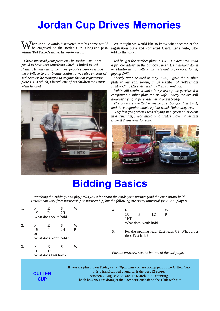### **Jordan Cup Drives Memories**

 $\boldsymbol{J}$ hen John Edwards discovered that his name would be engraved on the Jordan Cup, alongside pastwinner Ted Fisher's name, he wrote saying:

I have just read your piece on The Jordan Cup. I am proud to have won something which is linked to Ted Fisher. He was one of the nicest people I have ever had the privilege to play bridge against. I was also envious of Ted because he managed to acquire the car registration plate 1NTX which, I heard, one of his children took over when he died.



We thought we would like to know what became of the registration plate and contacted Carol, Ted's wife, who told us the story:

Ted bought the number plate in 1981. He acquired it via a private advert in the Sunday Times. He travelled down to Maidstone to collect the relevant paperwork for it, paying £950.

Shortly after he died in May 2005, I gave the number plate to our son, Robin, a life member of Nottingham Bridge Club. His sister had his then current car.

Robin still retains it and a few years ago he purchased a companion number plate for his wife, Tracey. We are still however trying to persuade her to learn bridge!

The photos show Ted when he first bought it in 1981, and the companion number plate which Robin acquired.

Only last year, when I was playing in a green point event in Altringham, I was asked by a bridge player to let him know if it was ever for sale.



# **Bidding Basics**

Watching the bidding (and play) tells you a lot about the cards your partner (and the opposition) hold. Details can vary from partnership to partnership, but the following are pretty universal for ACOL players.

| 1. | N<br>1S                                              | Ε<br>P | S<br>2H<br>What does South hold? | W                | 4. |                                                   | N<br>Ε<br>S<br>W<br>1 <sup>C</sup><br>P<br>P<br>1D<br>1NT                                   |  |  |                                                                                     |
|----|------------------------------------------------------|--------|----------------------------------|------------------|----|---------------------------------------------------|---------------------------------------------------------------------------------------------|--|--|-------------------------------------------------------------------------------------|
| 2. | N<br>1S<br>3 <sub>C</sub>                            | Ε<br>P | S<br>2H<br>What does North hold? | W<br>$\mathbf P$ |    | 5.                                                | What does North hold?<br>For the opening lead, East leads C9. What clubs<br>does East hold? |  |  |                                                                                     |
| 3. | S<br>Ε<br>W<br>N<br>1H<br>1S<br>What does East hold? |        |                                  |                  |    | For the answers, see the bottom of the last page. |                                                                                             |  |  |                                                                                     |
|    |                                                      |        |                                  |                  |    |                                                   |                                                                                             |  |  | If you are playing on Fridays at 7:30pm then you are taking part in the Cullen Cup. |

**CULLEN CUP** 

It is a handicapped event, with the best 12 scores between 7 August 2020 and 12 March 2021 counting. Check how you are doing at the Competitions tab on the Club web site.